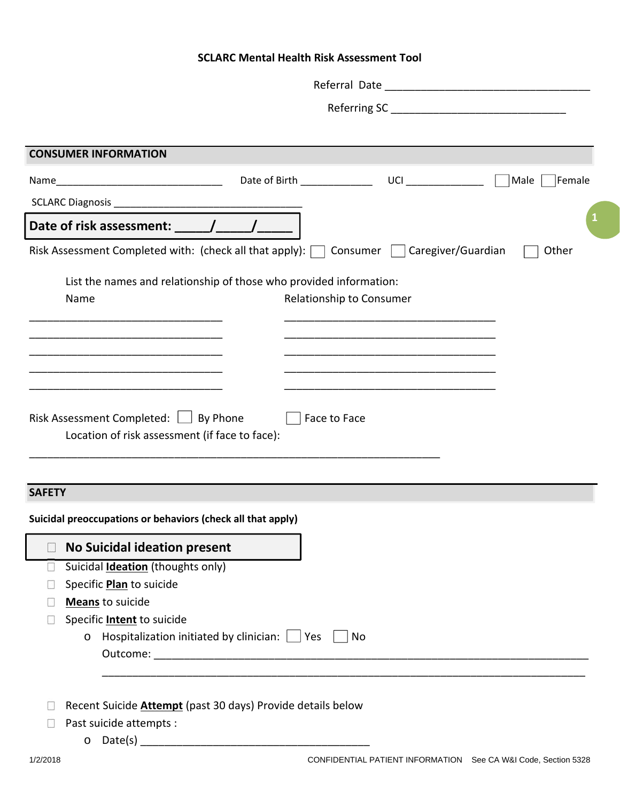# **SCLARC Mental Health Risk Assessment Tool**

|               | <b>CONSUMER INFORMATION</b>                                                                             |
|---------------|---------------------------------------------------------------------------------------------------------|
|               |                                                                                                         |
|               | Date of Birth <b>Exercise 20</b><br>Male<br>Female                                                      |
|               |                                                                                                         |
|               |                                                                                                         |
|               | Risk Assessment Completed with: (check all that apply): $\Box$ Consumer     Caregiver/Guardian<br>Other |
|               |                                                                                                         |
|               | List the names and relationship of those who provided information:<br>Relationship to Consumer<br>Name  |
|               |                                                                                                         |
|               |                                                                                                         |
|               |                                                                                                         |
|               |                                                                                                         |
|               |                                                                                                         |
|               | Location of risk assessment (if face to face):                                                          |
| <b>SAFETY</b> |                                                                                                         |
|               | Suicidal preoccupations or behaviors (check all that apply)                                             |
|               |                                                                                                         |
|               | <b>No Suicidal ideation present</b>                                                                     |
| $\sim$        | Suicidal <b>Ideation</b> (thoughts only)<br>Specific Plan to suicide                                    |
|               | <b>Means</b> to suicide                                                                                 |
|               | Specific <b>Intent</b> to suicide                                                                       |
|               | $\circ$ Hospitalization initiated by clinician: $\Box$ Yes $\Box$ No                                    |
|               |                                                                                                         |
|               |                                                                                                         |
|               | Recent Suicide <b>Attempt</b> (past 30 days) Provide details below                                      |
|               | Past suicide attempts :                                                                                 |
|               |                                                                                                         |
| 1/2/2018      | CONFIDENTIAL PATIENT INFORMATION See CA W&I Code, Section 5328                                          |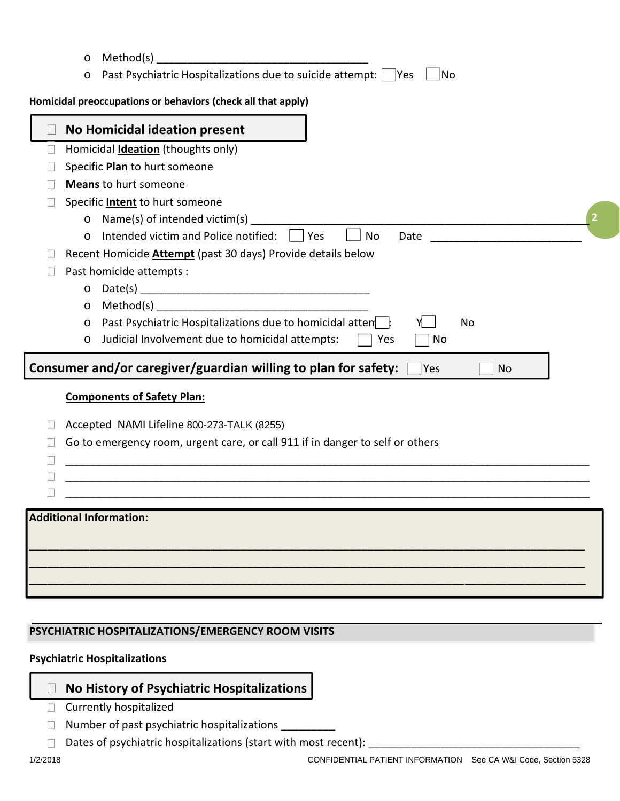| Homicidal <b>Ideation</b> (thoughts only)                                                                                    |
|------------------------------------------------------------------------------------------------------------------------------|
|                                                                                                                              |
| Specific <b>Plan</b> to hurt someone                                                                                         |
| <b>Means</b> to hurt someone                                                                                                 |
| Specific <b>Intent</b> to hurt someone                                                                                       |
| Name(s) of intended victim(s)<br>$\circ$                                                                                     |
| Intended victim and Police notified: $\vert \vert$ Yes<br>No<br>Date<br>$\circ$<br><u> 2001 - Jan Samuel Barbara, manala</u> |
| Recent Homicide <b>Attempt</b> (past 30 days) Provide details below                                                          |
| Past homicide attempts :                                                                                                     |
| $\circ$                                                                                                                      |
| $\circ$                                                                                                                      |
| Past Psychiatric Hospitalizations due to homicidal atten<br>No<br>$\circ$                                                    |
| Judicial Involvement due to homicidal attempts:<br>Yes<br>No<br>$\circ$                                                      |
| Consumer and/or caregiver/guardian willing to plan for safety:<br> Yes<br><b>No</b>                                          |
| <b>Components of Safety Plan:</b>                                                                                            |
| Accepted NAMI Lifeline 800-273-TALK (8255)                                                                                   |
| Go to emergency room, urgent care, or call 911 if in danger to self or others                                                |
|                                                                                                                              |
|                                                                                                                              |
|                                                                                                                              |
|                                                                                                                              |

## **PSYCHIATRIC HOSPITALIZATIONS/EMERGENCY ROOM VISITS**

## **Psychiatric Hospitalizations**

# **No History of Psychiatric Hospitalizations**

- **Currently hospitalized**
- Number of past psychiatric hospitalizations \_\_\_\_\_\_\_\_\_\_  $\overline{\mathcal{L}^{\mathcal{A}}_{\mathcal{A}}$
- Dates of psychiatric hospitalizations (start with most recent):  $\sim$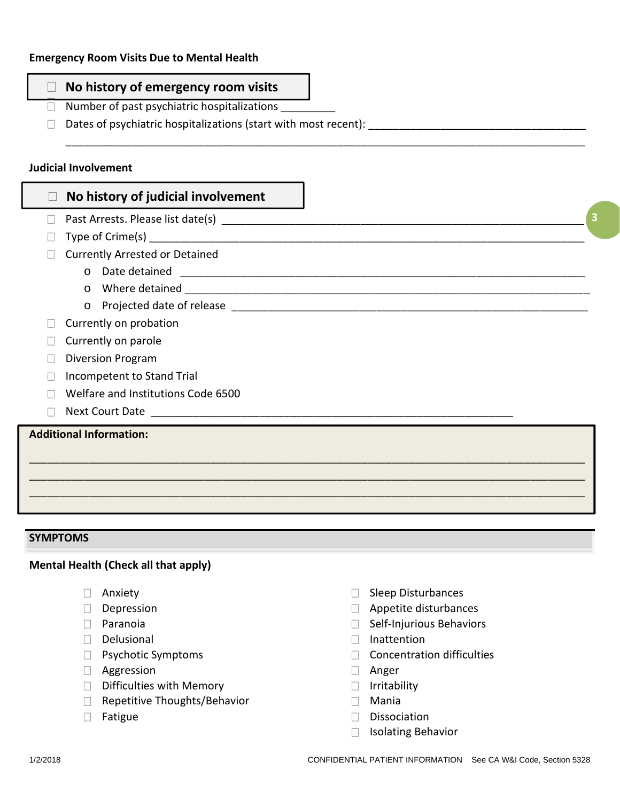# **No history of emergency room visits**

- $\Box$  Number of past psychiatric hospitalizations
- $\square$  Dates of psychiatric hospitalizations (start with most recent):

#### **Judicial Involvement**

# **No history of judicial involvement**

- Past Arrests. Please list date(s) \_\_\_\_\_\_\_\_\_\_\_\_\_\_\_\_\_\_\_\_\_\_\_\_\_\_\_\_\_\_\_\_\_\_\_\_\_\_\_\_\_\_\_\_\_\_\_\_\_\_\_\_\_\_\_\_\_\_\_\_
- $\Box$  Type of Crime(s)
- **Currently Arrested or Detained** 
	- o Date detained \_\_\_\_\_\_\_\_\_\_\_\_\_\_\_\_\_\_\_\_\_\_\_\_\_\_\_\_\_\_\_\_\_\_\_\_\_\_\_\_\_\_\_\_\_\_\_\_\_\_\_\_\_\_\_\_\_\_\_\_\_\_\_\_\_\_\_
	- $\circ$  Where detained  $\circ$
	- o Projected date of release \_\_\_\_\_\_\_\_\_\_\_\_\_\_\_\_\_\_\_\_\_\_\_\_\_\_\_\_\_\_\_\_\_\_\_\_\_\_\_\_\_\_\_\_\_\_\_\_\_\_\_\_\_\_\_\_\_\_\_
- $\Box$  Currently on probation
- Currently on parole
- Diversion Program
- Incompetent to Stand Trial
- Welfare and Institutions Code 6500
- $\Box$  Next Court Date

## **Additional Information:**

#### **SYMPTOMS**

#### **Mental Health (Check all that apply)**

- **E** Anxiety
- Depression
- **D** Paranoia
- Delusional
- **Psychotic Symptoms**
- **Aggression**
- $\Box$  Difficulties with Memory
- Repetitive Thoughts/Behavior
- **Fatigue**
- Sleep Disturbances
- **Appetite disturbances**
- Self-Injurious Behaviors
- Inattention
- Concentration difficulties
- **Anger**

\_\_\_\_\_\_\_\_\_\_\_\_\_\_\_\_\_\_\_\_\_\_\_\_\_\_\_\_\_\_\_\_\_\_\_\_\_\_\_\_\_\_\_\_\_\_\_\_\_\_\_\_\_\_\_\_\_\_\_\_\_\_\_\_\_\_\_\_\_\_\_\_\_\_\_\_\_\_\_\_\_\_\_\_\_\_

 $\overline{\phantom{a}}$  , and the contribution of the contribution of the contribution of the contribution of the contribution of the contribution of the contribution of the contribution of the contribution of the contribution of the  $\overline{\phantom{a}}$  , and the contribution of the contribution of the contribution of the contribution of the contribution of the contribution of the contribution of the contribution of the contribution of the contribution of the  $\overline{\phantom{a}}$  , and the contribution of the contribution of the contribution of the contribution of the contribution of the contribution of the contribution of the contribution of the contribution of the contribution of the

- **I**rritability
- Mania
- Dissociation
- **Isolating Behavior**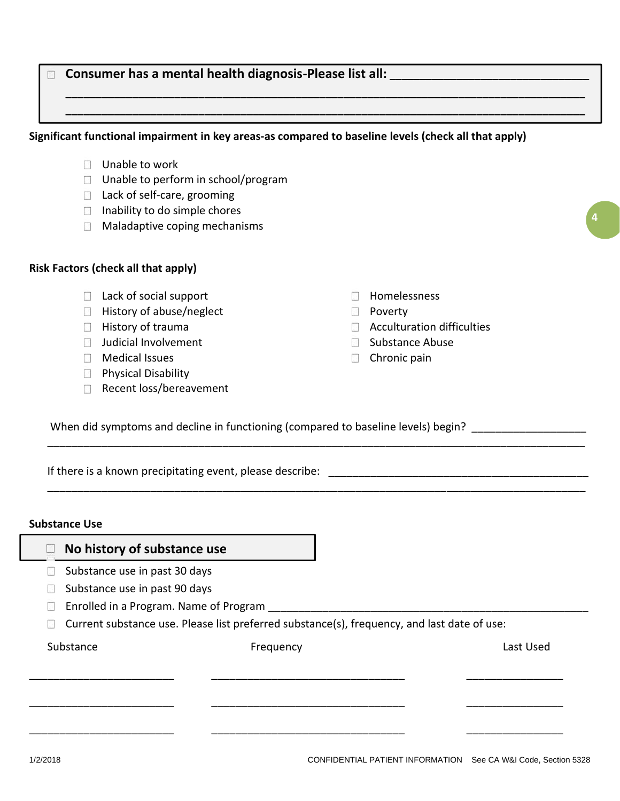#### **Consumer has a mental health diagnosis-Please list all: \_\_\_\_\_\_\_\_\_\_\_\_\_\_\_\_\_\_\_\_\_\_\_\_\_\_\_\_\_\_\_\_\_**  $\Box$

#### **Significant functional impairment in key areas-as compared to baseline levels (check all that apply)**

- **Unable to work**
- $\Box$  Unable to perform in school/program
- □ Lack of self-care, grooming
- $\Box$  Inability to do simple chores
- **Maladaptive coping mechanisms**

### **Risk Factors (check all that apply)**

- **Lack of social support**
- **History of abuse/neglect**
- $\Box$  History of trauma
- **Judicial Involvement**
- **Medical Issues**
- **Physical Disability**
- Recent loss/bereavement
- **Homelessness**
- **Poverty**

\_\_\_\_\_\_\_\_\_\_\_\_\_\_\_\_\_\_\_\_\_\_\_\_\_\_\_\_\_\_\_\_\_\_\_\_\_\_\_\_\_\_\_\_\_\_\_\_\_\_\_\_\_\_\_\_\_\_\_\_\_\_\_\_\_\_\_\_\_\_\_\_\_\_\_\_\_\_\_\_\_\_\_\_\_\_\_\_\_

\_\_\_\_\_\_\_\_\_\_\_\_\_\_\_\_\_\_\_\_\_\_\_\_\_\_\_\_\_\_\_\_\_\_\_\_\_\_\_\_\_\_\_\_\_\_\_\_\_\_\_\_\_\_\_\_\_\_\_\_\_\_\_\_\_\_\_\_\_\_\_\_\_\_\_\_\_\_\_\_\_\_\_\_\_\_\_\_\_

**\_\_\_\_\_\_\_\_\_\_\_\_\_\_\_\_\_\_\_\_\_\_\_\_\_\_\_\_\_\_\_\_\_\_\_\_\_\_\_\_\_\_\_\_\_\_\_\_\_\_\_\_\_\_\_\_\_\_\_\_\_\_\_\_\_\_\_\_\_\_\_\_\_\_\_\_\_\_\_\_\_\_\_\_\_\_ \_\_\_\_\_\_\_\_\_\_\_\_\_\_\_\_\_\_\_\_\_\_\_\_\_\_\_\_\_\_\_\_\_\_\_\_\_\_\_\_\_\_\_\_\_\_\_\_\_\_\_\_\_\_\_\_\_\_\_\_\_\_\_\_\_\_\_\_\_\_\_\_\_\_\_\_\_\_\_\_\_\_\_\_\_\_**

**Acculturation difficulties** 

**4**

- Substance Abuse
- $\Box$  Chronic pain

When did symptoms and decline in functioning (compared to baseline levels) begin? \_\_\_\_\_\_\_\_\_\_\_\_\_\_\_\_\_\_

If there is a known precipitating event, please describe:

#### **Substance Use**

| No history of substance use            |                                                                                             |           |
|----------------------------------------|---------------------------------------------------------------------------------------------|-----------|
| Substance use in past 30 days          |                                                                                             |           |
| Substance use in past 90 days          |                                                                                             |           |
| Enrolled in a Program. Name of Program |                                                                                             |           |
|                                        | Current substance use. Please list preferred substance(s), frequency, and last date of use: |           |
| Substance                              | Frequency                                                                                   | Last Used |
|                                        |                                                                                             |           |
|                                        |                                                                                             |           |
|                                        |                                                                                             |           |
|                                        |                                                                                             |           |
|                                        |                                                                                             |           |